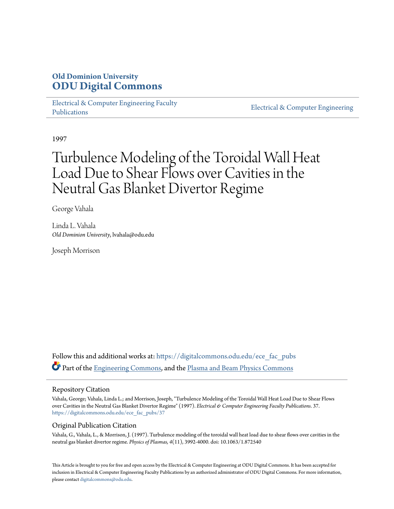# **Old Dominion University [ODU Digital Commons](https://digitalcommons.odu.edu?utm_source=digitalcommons.odu.edu%2Fece_fac_pubs%2F37&utm_medium=PDF&utm_campaign=PDFCoverPages)**

[Electrical & Computer Engineering Faculty](https://digitalcommons.odu.edu/ece_fac_pubs?utm_source=digitalcommons.odu.edu%2Fece_fac_pubs%2F37&utm_medium=PDF&utm_campaign=PDFCoverPages) [Publications](https://digitalcommons.odu.edu/ece_fac_pubs?utm_source=digitalcommons.odu.edu%2Fece_fac_pubs%2F37&utm_medium=PDF&utm_campaign=PDFCoverPages)

[Electrical & Computer Engineering](https://digitalcommons.odu.edu/ece?utm_source=digitalcommons.odu.edu%2Fece_fac_pubs%2F37&utm_medium=PDF&utm_campaign=PDFCoverPages)

1997

# Turbulence Modeling of the Toroidal Wall Heat Load Due to Shear Flows over Cavities in the Neutral Gas Blanket Divertor Regime

George Vahala

Linda L. Vahala *Old Dominion University*, lvahala@odu.edu

Joseph Morrison

Follow this and additional works at: [https://digitalcommons.odu.edu/ece\\_fac\\_pubs](https://digitalcommons.odu.edu/ece_fac_pubs?utm_source=digitalcommons.odu.edu%2Fece_fac_pubs%2F37&utm_medium=PDF&utm_campaign=PDFCoverPages) Part of the [Engineering Commons,](http://network.bepress.com/hgg/discipline/217?utm_source=digitalcommons.odu.edu%2Fece_fac_pubs%2F37&utm_medium=PDF&utm_campaign=PDFCoverPages) and the [Plasma and Beam Physics Commons](http://network.bepress.com/hgg/discipline/205?utm_source=digitalcommons.odu.edu%2Fece_fac_pubs%2F37&utm_medium=PDF&utm_campaign=PDFCoverPages)

## Repository Citation

Vahala, George; Vahala, Linda L.; and Morrison, Joseph, "Turbulence Modeling of the Toroidal Wall Heat Load Due to Shear Flows over Cavities in the Neutral Gas Blanket Divertor Regime" (1997). *Electrical & Computer Engineering Faculty Publications*. 37. [https://digitalcommons.odu.edu/ece\\_fac\\_pubs/37](https://digitalcommons.odu.edu/ece_fac_pubs/37?utm_source=digitalcommons.odu.edu%2Fece_fac_pubs%2F37&utm_medium=PDF&utm_campaign=PDFCoverPages)

# Original Publication Citation

Vahala, G., Vahala, L., & Morrison, J. (1997). Turbulence modeling of the toroidal wall heat load due to shear flows over cavities in the neutral gas blanket divertor regime. *Physics of Plasmas, 4*(11), 3992-4000. doi: 10.1063/1.872540

This Article is brought to you for free and open access by the Electrical & Computer Engineering at ODU Digital Commons. It has been accepted for inclusion in Electrical & Computer Engineering Faculty Publications by an authorized administrator of ODU Digital Commons. For more information, please contact [digitalcommons@odu.edu](mailto:digitalcommons@odu.edu).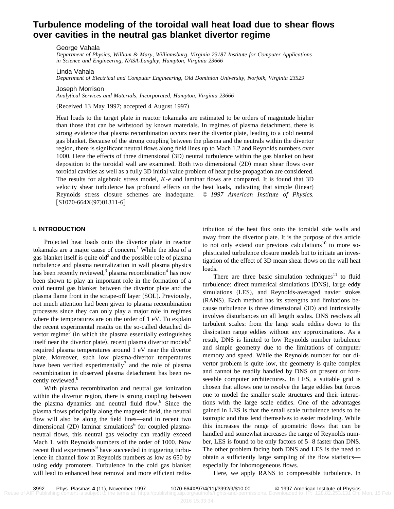# **Turbulence modeling of the toroidal wall heat load due to shear flows over cavities in the neutral gas blanket divertor regime**

George Vahala

*Department of Physics, William & Mary, Williamsburg, Virginia 23187 Institute for Computer Applications in Science and Engineering, NASA-Langley, Hampton, Virginia 23666*

Linda Vahala

*Department of Electrical and Computer Engineering, Old Dominion University, Norfolk, Virginia 23529*

Joseph Morrison

*Analytical Services and Materials, Incorporated, Hampton, Virginia 23666*

(Received 13 May 1997; accepted 4 August 1997)

Heat loads to the target plate in reactor tokamaks are estimated to be orders of magnitude higher than those that can be withstood by known materials. In regimes of plasma detachment, there is strong evidence that plasma recombination occurs near the divertor plate, leading to a cold neutral gas blanket. Because of the strong coupling between the plasma and the neutrals within the divertor region, there is significant neutral flows along field lines up to Mach 1.2 and Reynolds numbers over 1000. Here the effects of three dimensional (3D) neutral turbulence within the gas blanket on heat deposition to the toroidal wall are examined. Both two dimensional  $(2D)$  mean shear flows over toroidal cavities as well as a fully 3D initial value problem of heat pulse propagation are considered. The results for algebraic stress model,  $K-\epsilon$  and laminar flows are compared. It is found that 3D velocity shear turbulence has profound effects on the heat loads, indicating that simple (linear) Reynolds stress closure schemes are inadequate. © *1997 American Institute of Physics.*  $[S1070-664X(97)01311-6]$ 

#### **I. INTRODUCTION**

Projected heat loads onto the divertor plate in reactor tokamaks are a major cause of concern.<sup>1</sup> While the idea of a gas blanket itself is quite  $old<sup>2</sup>$  and the possible role of plasma turbulence and plasma neutralization in wall plasma physics has been recently reviewed,<sup>3</sup> plasma recombination<sup>4</sup> has now been shown to play an important role in the formation of a cold neutral gas blanket between the divertor plate and the plasma flame front in the scrape-off layer (SOL). Previously, not much attention had been given to plasma recombination processes since they can only play a major role in regimes where the temperatures are on the order of 1 eV. To explain the recent experimental results on the so-called detached divertor regime<sup>5</sup> (in which the plasma essentially extinguishes itself near the divertor plate), recent plasma divertor models<sup>6</sup> required plasma temperatures around 1 eV near the divertor plate. Moreover, such low plasma-divertor temperatures have been verified experimentally<sup>7</sup> and the role of plasma recombination in observed plasma detachment has been recently reviewed.<sup>8</sup>

With plasma recombination and neutral gas ionization within the divertor region, there is strong coupling between the plasma dynamics and neutral fluid flow. $6$  Since the plasma flows principally along the magnetic field, the neutral flow will also be along the field lines—and in recent two dimensional  $(2D)$  laminar simulations<sup>6</sup> for coupled plasmaneutral flows, this neutral gas velocity can readily exceed Mach 1, with Reynolds numbers of the order of 1000. Now recent fluid experiments<sup>9</sup> have succeeded in triggering turbulence in channel flow at Reynolds numbers as low as 650 by using eddy promoters. Turbulence in the cold gas blanket will lead to enhanced heat removal and more efficient redistribution of the heat flux onto the toroidal side walls and away from the divertor plate. It is the purpose of this article to not only extend our previous calculations<sup>10</sup> to more sophisticated turbulence closure models but to initiate an investigation of the effect of 3D mean shear flows on the wall heat loads.

There are three basic simulation techniques<sup>11</sup> to fluid turbulence: direct numerical simulations (DNS), large eddy simulations (LES), and Reynolds-averaged navier stokes (RANS). Each method has its strengths and limitations because turbulence is three dimensional (3D) and intrinsically involves disturbances on all length scales. DNS resolves all turbulent scales: from the large scale eddies down to the dissipation range eddies without any approximations. As a result, DNS is limited to low Reynolds number turbulence and simple geometry due to the limitations of computer memory and speed. While the Reynolds number for our divertor problem is quite low, the geometry is quite complex and cannot be readily handled by DNS on present or foreseeable computer architectures. In LES, a suitable grid is chosen that allows one to resolve the large eddies but forces one to model the smaller scale structures and their interactions with the large scale eddies. One of the advantages gained in LES is that the small scale turbulence tends to be isotropic and thus lend themselves to easier modeling. While this increases the range of geometric flows that can be handled and somewhat increases the range of Reynolds number, LES is found to be only factors of 5–8 faster than DNS. The other problem facing both DNS and LES is the need to obtain a sufficiently large sampling of the flow statistics especially for inhomogeneous flows.

Here, we apply RANS to compressible turbulence. In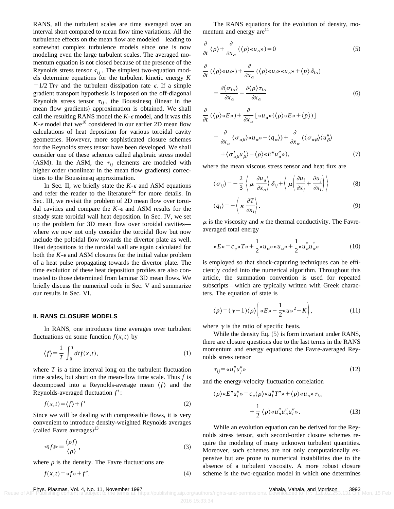RANS, all the turbulent scales are time averaged over an interval short compared to mean flow time variations. All the turbulence effects on the mean flow are modeled—leading to somewhat complex turbulence models since one is now modeling even the large turbulent scales. The averaged momentum equation is not closed because of the presence of the Reynolds stress tensor  $\tau_{ij}$ . The simplest two-equation models determine equations for the turbulent kinetic energy *K*  $=1/2$  Tr $\tau$  and the turbulent dissipation rate  $\epsilon$ . If a simple gradient transport hypothesis is imposed on the off-diagonal Reynolds stress tensor  $\tau_{ij}$ , the Boussinesq (linear in the mean flow gradients) approximation is obtained. We shall call the resulting RANS model the  $K - \epsilon$  model, and it was this  $K$ - $\epsilon$  model that we<sup>10</sup> considered in our earlier 2D mean flow calculations of heat deposition for various toroidal cavity geometries. However, more sophisticated closure schemes for the Reynolds stress tensor have been developed. We shall consider one of these schemes called algebraic stress model (ASM). In the ASM, the  $\tau_{ij}$  elements are modeled with higher order (nonlinear in the mean flow gradients) corrections to the Boussinesq approximation.

In Sec. II, we briefly state the  $K - \epsilon$  and ASM equations and refer the reader to the literature<sup>12</sup> for more details. In Sec. III, we revisit the problem of 2D mean flow over toroidal cavities and compare the  $K - \epsilon$  and ASM results for the steady state toroidal wall heat deposition. In Sec. IV, we set up the problem for 3D mean flow over toroidal cavities where we now not only consider the toroidal flow but now include the poloidal flow towards the divertor plate as well. Heat depositions to the toroidal wall are again calculated for both the  $K - \epsilon$  and ASM closures for the initial value problem of a heat pulse propagating towards the divertor plate. The time evolution of these heat deposition profiles are also contrasted to those determined from laminar 3D mean flows. We briefly discuss the numerical code in Sec. V and summarize our results in Sec. VI.

#### **II. RANS CLOSURE MODELS**

In RANS, one introduces time averages over turbulent fluctuations on some function  $f(x,t)$  by

$$
\langle f \rangle = \frac{1}{T} \int_0^T dt f(x, t), \qquad (1)
$$

where *T* is a time interval long on the turbulent fluctuation time scales, but short on the mean-flow time scale. Thus *f* is decomposed into a Reynolds-average mean  $\langle f \rangle$  and the Reynolds-averaged fluctuation  $f'$ :

$$
f(x,t) = \langle f \rangle + f'
$$
 (2)

Since we will be dealing with compressible flows, it is very convenient to introduce density-weighted Reynolds averages (called Favre averages) $^{13}$ 

$$
\ll f \gg \equiv \frac{\langle \rho f \rangle}{\langle \rho \rangle},\tag{3}
$$

where  $\rho$  is the density. The Favre fluctuations are

$$
f(x,t) = \alpha f \cdot f''.
$$
 (4)

The RANS equations for the evolution of density, momentum and energy  $are^{11}$ 

$$
\frac{\partial}{\partial t} \langle \rho \rangle + \frac{\partial}{\partial x_{\alpha}} \left( \langle \rho \rangle \langle u_{\alpha} \rangle \right) = 0 \tag{5}
$$

$$
\frac{\partial}{\partial t} (\langle \rho \rangle \langle u_{i} \rangle) + \frac{\partial}{\partial x_{\alpha}} (\langle \rho \rangle \langle u_{i} \rangle \langle u_{\alpha} \rangle) + \langle \rho \rangle \delta_{i\alpha})
$$
\n
$$
= \frac{\partial \langle \sigma_{i\alpha} \rangle}{\partial x_{\alpha}} - \frac{\partial \langle \rho \rangle \tau_{i\alpha}}{\partial x_{\alpha}} \tag{6}
$$

$$
\frac{\partial}{\partial t} (\langle \rho \rangle \ll E_{\omega}) + \frac{\partial}{\partial x_{\alpha}} [\ll u_{\alpha} \llbracket \langle \rho \rangle \ll E_{\omega} + \langle \rho \rangle)]
$$
\n
$$
= \frac{\partial}{\partial x_{\alpha}} \langle \sigma_{\alpha \beta} \rangle \ll u_{\alpha} \llbracket \langle \rho \rangle \ll E_{\omega} + \frac{\partial}{\partial x_{\alpha}} (\langle \sigma_{\alpha \beta} \rangle \langle u_{\beta} \rangle - \langle \sigma_{\alpha \beta} \rangle \langle u_{\beta} \rangle - \langle \rho \rangle \ll E'' u_{\alpha}'' \gg), \tag{7}
$$

where the mean viscous stress tensor and heat flux are

$$
\langle \sigma_{ij} \rangle = -\frac{2}{3} \left\langle \mu \, \frac{\partial u_{\alpha}}{\partial x_{\alpha}} \right\rangle \delta_{ij} + \left\langle \mu \left( \frac{\partial u_{i}}{\partial x_{j}} + \frac{\partial u_{j}}{\partial x_{i}} \right) \right\rangle \tag{8}
$$

$$
\langle q_i \rangle = -\left\langle \kappa \frac{\partial T}{\partial x_i} \right\rangle. \tag{9}
$$

 $\mu$  is the viscosity and  $\kappa$  the thermal conductivity. The Favreaveraged total energy

$$
\alpha E \cdot E \cdot C_v \cdot \alpha T \cdot \frac{1}{2} \cdot \alpha u_{\alpha} \cdot \alpha u_{\alpha} \cdot \frac{1}{2} \cdot \alpha u_{\alpha}'' u_{\alpha}'' \cdot \alpha u_{\alpha} \cdot \alpha u_{\alpha} \cdot \alpha u_{\alpha} \cdot \alpha u_{\alpha} \cdot \alpha u_{\alpha} \cdot \alpha u_{\alpha} \cdot \alpha u_{\alpha} \cdot \alpha u_{\alpha} \cdot \alpha u_{\alpha} \cdot \alpha u_{\alpha} \cdot \alpha u_{\alpha} \cdot \alpha u_{\alpha} \cdot \alpha u_{\alpha} \cdot \alpha u_{\alpha} \cdot \alpha u_{\alpha} \cdot \alpha u_{\alpha} \cdot \alpha u_{\alpha} \cdot \alpha u_{\alpha} \cdot \alpha u_{\alpha} \cdot \alpha u_{\alpha} \cdot \alpha u_{\alpha} \cdot \alpha u_{\alpha} \cdot \alpha u_{\alpha} \cdot \alpha u_{\alpha} \cdot \alpha u_{\alpha} \cdot \alpha u_{\alpha} \cdot \alpha u_{\alpha} \cdot \alpha u_{\alpha} \cdot \alpha u_{\alpha} \cdot \alpha u_{\alpha} \cdot \alpha u_{\alpha} \cdot \alpha u_{\alpha} \cdot \alpha u_{\alpha} \cdot \alpha u_{\alpha} \cdot \alpha u_{\alpha} \cdot \alpha u_{\alpha} \cdot \alpha u_{\alpha} \cdot \alpha u_{\alpha} \cdot \alpha u_{\alpha} \cdot \alpha u_{\alpha} \cdot \alpha u_{\alpha} \cdot \alpha u_{\alpha} \cdot \alpha u_{\alpha} \cdot \alpha u_{\alpha} \cdot \alpha u_{\alpha} \cdot \alpha u_{\alpha} \cdot \alpha u_{\alpha} \cdot \alpha u_{\alpha} \cdot \alpha u_{\alpha} \cdot \alpha u_{\alpha} \cdot \alpha u_{\alpha} \cdot \alpha u_{\alpha} \cdot \alpha u_{\alpha} \cdot \alpha u_{\alpha} \cdot \alpha u_{\alpha} \cdot \alpha u_{\alpha} \cdot \alpha u_{\alpha} \cdot \alpha u_{\alpha} \cdot \alpha u_{\alpha} \cdot \alpha u_{\alpha} \cdot \alpha u_{\alpha} \cdot \alpha u_{\alpha} \cdot \alpha u_{\alpha} \cdot \alpha u_{\alpha} \cdot \alpha u_{\alpha} \cdot \alpha u_{\alpha} \cdot \alpha u_{\alpha} \cdot \alpha u_{\alpha} \cdot \alpha u_{\alpha} \cdot \alpha u_{\alpha} \cdot \alpha u_{\alpha} \cdot \alpha u_{\alpha} \cdot \alpha u_{\alpha} \cdot \alpha u_{\alpha} \cdot \alpha u_{\alpha} \cdot \alpha u_{\alpha} \cdot \alpha u_{\alpha}
$$

is employed so that shock-capturing techniques can be efficiently coded into the numerical algorithm. Throughout this article, the summation convention is used for repeated subscripts—which are typically written with Greek characters. The equation of state is

$$
\langle p \rangle = (\gamma - 1) \langle \rho \rangle \bigg( \langle E \rangle - \frac{1}{2} \langle u \rangle^2 - K \bigg), \tag{11}
$$

where  $\gamma$  is the ratio of specific heats.

While the density Eq.  $(5)$  is form invariant under RANS, there are closure questions due to the last terms in the RANS momentum and energy equations: the Favre-averaged Reynolds stress tensor

$$
\tau_{ij} = \alpha u_i'' u_j'' \tag{12}
$$

and the energy-velocity fluctuation correlation

$$
\langle \rho \rangle \ll E'' u_i'' \gg = c_v \langle \rho \rangle \ll u_i'' T'' \gg + \langle \rho \rangle \ll u_{\alpha} \gg \tau_{i\alpha} + \frac{1}{2} \langle \rho \rangle \ll u''_{\alpha} u''_{\alpha} u''_{i} \gg. \tag{13}
$$

While an evolution equation can be derived for the Reynolds stress tensor, such second-order closure schemes require the modeling of many unknown turbulent quantities. Moreover, such schemes are not only computationally expensive but are prone to numerical instabilities due to the absence of a turbulent viscosity. A more robust closure scheme is the two-equation model in which one determines

Phys. Plasmas, Vol. 4, No. 11, November 1997<br>Reuse of AIP Publishing content is subject to the terms at: https://publishing.aip.org/authors/rights-and-permissions. Downloaded to TP: 128.82.253.131 On: Mon, 15 Feb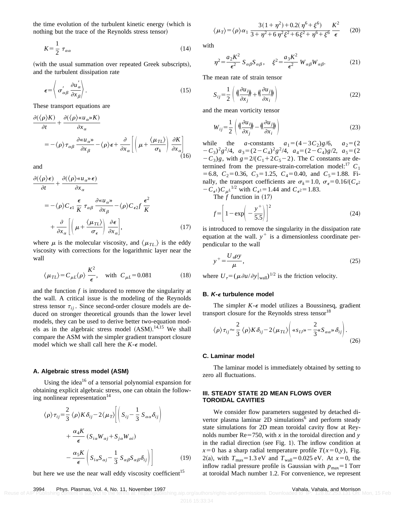the time evolution of the turbulent kinetic energy (which is nothing but the trace of the Reynolds stress tensor)

$$
K = \frac{1}{2} \tau_{\alpha\alpha} \tag{14}
$$

(with the usual summation over repeated Greek subscripts), and the turbulent dissipation rate

$$
\epsilon = \left\langle \sigma_{\alpha\beta}^{'} \frac{\partial u_{\alpha}^{'} }{\partial x_{\beta}} \right\rangle. \tag{15}
$$

These transport equations are

$$
\frac{\partial (\langle \rho \rangle K)}{\partial t} + \frac{\partial (\langle \rho \rangle \langle u_{\alpha} \rangle K)}{\partial x_{\alpha}}
$$
  
= -\langle \rho \rangle \tau\_{\alpha\beta} \frac{\partial \langle u\_{\alpha} \rangle}{\partial x\_{\beta}} - \langle \rho \rangle \epsilon + \frac{\partial}{\partial x\_{\alpha}} \left[ \left( \mu + \frac{\langle \mu\_{TL} \rangle}{\sigma\_k} \right) \frac{\partial K}{\partial x\_{\alpha}} \right] (16)

and

$$
\frac{\partial(\langle \rho \rangle \epsilon)}{\partial t} + \frac{\partial(\langle \rho \rangle \langle u_{\alpha} \rangle \epsilon)}{\partial x_{\alpha}} \n= -\langle \rho \rangle C_{\epsilon 1} \frac{\epsilon}{K} \tau_{\alpha \beta} \frac{\partial \langle u_{\alpha} \rangle}{\partial x_{\beta}} - \langle \rho \rangle C_{\epsilon 2} f \frac{\epsilon^2}{K} \n+ \frac{\partial}{\partial x_{\alpha}} \left[ \left( \mu + \frac{\langle \mu_{TL} \rangle}{\sigma_{\epsilon}} \right) \frac{\partial \epsilon}{\partial x_{\alpha}} \right],
$$
\n(17)

where  $\mu$  is the molecular viscosity, and  $\langle \mu_{TL} \rangle$  is the eddy viscosity with corrections for the logarithmic layer near the wall

$$
\langle \mu_{TL} \rangle = C_{\mu L} \langle \rho \rangle \frac{K^2}{\epsilon}, \text{ with } C_{\mu L} = 0.081
$$
 (18)

and the function  $f$  is introduced to remove the singularity at the wall. A critical issue is the modeling of the Reynolds stress tensor  $\tau_{ii}$ . Since second-order closure models are deduced on stronger theoretical grounds than the lower level models, they can be used to derive better two-equation models as in the algebraic stress model  $(ASM).^{14,15}$  We shall compare the ASM with the simpler gradient transport closure model which we shall call here the  $K - \epsilon$  model.

#### **A. Algebraic stress model (ASM)**

Using the idea<sup>16</sup> of a tensorial polynomial expansion for obtaining explicit algebraic stress, one can obtain the following nonlinear representation $14$ 

$$
\langle \rho \rangle \tau_{ij} = \frac{2}{3} \langle \rho \rangle K \delta_{ij} - 2 \langle \mu_T \rangle \Bigg[ \Big( S_{ij} - \frac{1}{3} S_{\alpha \alpha} \delta_{ij} \Big) + \frac{\alpha_4 K}{\epsilon} \left( S_{i \alpha} W_{\alpha j} + S_{j \alpha} W_{\alpha i} \right) - \frac{\alpha_5 K}{\epsilon} \Bigg( S_{i \alpha} S_{\alpha j} - \frac{1}{3} S_{\alpha \beta} S_{\alpha \beta} \delta_{ij} \Bigg) \Bigg]
$$
(19)

but here we use the near wall eddy viscosity coefficient<sup>15</sup>

with

$$
\eta^2 = \frac{a_2 K^2}{\epsilon^2} S_{\alpha\beta} S_{\alpha\beta}, \quad \xi^2 = \frac{a_3 K^2}{\epsilon^2} W_{\alpha\beta} W_{\alpha\beta}.
$$
 (21)

The mean rate of strain tensor

$$
S_{ij} = \frac{1}{2} \left( \langle \frac{\partial u_i}{\partial x_j} \rangle + \langle \frac{\partial u_j}{\partial x_i} \rangle \right) \tag{22}
$$

and the mean vorticity tensor

$$
W_{ij} = \frac{1}{2} \left( \langle \frac{\partial u_{ij}}{\partial x_j} \rangle - \langle \frac{\partial u_{ij}}{\partial x_i} \rangle \rangle \right) \tag{23}
$$

while the *a*-constants  $a_1 = (4-3C_2)g/6$ ,  $a_2 = (2$  $-C_3^2g^2/4$ ,  $a_3 = (2 - C_4)^2g^2/4$ ,  $a_4 = (2 - C_4)g/2$ ,  $a_5 = (2$  $-C_3$ )*g*, with  $g=2/(C_1+2C_5-2)$ . The *C* constants are determined from the pressure-strain-correlation model:<sup>17</sup>  $C_1$  $= 6.8$ ,  $C_2 = 0.36$ ,  $C_3 = 1.25$ ,  $C_4 = 0.40$ , and  $C_5 = 1.88$ . Finally, the transport coefficients are  $\sigma_k = 1.0$ ,  $\sigma_{\epsilon} = 0.16/(C_{\epsilon^2})$  $-C_{\epsilon}$ <sup>1</sup>) $C_{\mu}L^{1/2}$  with  $C_{\epsilon}$ <sup>1</sup> = 1.44 and  $C_{\epsilon}$ <sup>2</sup> = 1.83.

The  $f$  function in  $(17)$ 

$$
f = \left[1 - \exp\left(-\frac{y^+}{5.5}\right)\right]^2\tag{24}
$$

is introduced to remove the singularity in the dissipation rate equation at the wall.  $y^+$  is a dimensionless coordinate perpendicular to the wall

$$
y^+ = \frac{U_\tau \rho y}{\mu},\tag{25}
$$

where  $U_{\tau} = (\mu \partial u / \partial y|_{\text{wall}})^{1/2}$  is the friction velocity.

#### **B. K-**<sup>e</sup> **turbulence model**

The simpler  $K - \epsilon$  model utilizes a Boussinesq, gradient transport closure for the Reynolds stress tensor<sup>18</sup>

$$
\langle \rho \rangle \tau_{ij} \approx \frac{2}{3} \langle \rho \rangle K \delta_{ij} - 2 \langle \mu_{TL} \rangle \bigg( \langle s_{IJ} \rangle - \frac{2}{3} \langle s_{\alpha \alpha} \rangle \delta_{ij} \bigg). \tag{26}
$$

#### **C. Laminar model**

The laminar model is immediately obtained by setting to zero all fluctuations.

#### **III. STEADY STATE 2D MEAN FLOWS OVER TOROIDAL CAVITIES**

We consider flow parameters suggested by detached divertor plasma laminar  $2D$  simulations<sup>6</sup> and perform steady state simulations for 2D mean toroidal cavity flow at Reynolds number  $Re=750$ , with *x* in the toroidal direction and *y* in the radial direction (see Fig. 1). The inflow condition at  $x=0$  has a sharp radial temperature profile  $T(x=0,y)$ , Fig. 2(a), with  $T_{\text{max}}=1.3 \text{ eV}$  and  $T_{\text{wall}}=0.025 \text{ eV}$ . At  $x=0$ , the inflow radial pressure profile is Gaussian with  $p_{\text{max}}=1$  Torr at toroidal Mach number 1.2. For convenience, we represent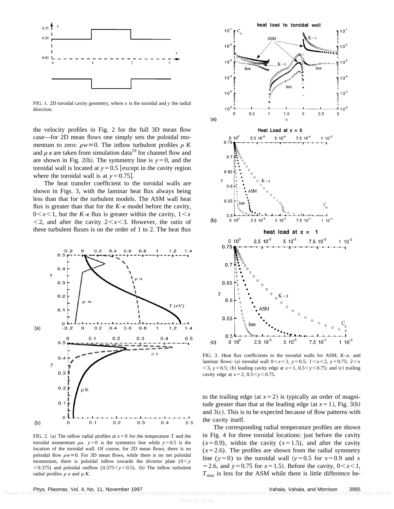

FIG. 1. 2D toroidal cavity geometry, where  $x$  is the toroidal and  $y$  the radial direction.

the velocity profiles in Fig. 2 for the full 3D mean flow case—for 2D mean flows one simply sets the poloidal momentum to zero:  $\rho w \equiv 0$ . The inflow turbulent profiles  $\rho K$ and  $\rho \in \alpha$  retaken from simulation data<sup>19</sup> for channel flow and are shown in Fig. 2(b). The symmetry line is  $y=0$ , and the toroidal wall is located at  $y=0.5$  [except in the cavity region where the toroidal wall is at  $y=0.75$ .

The heat transfer coefficient to the toroidal walls are shown in Figs. 3, with the laminar heat flux always being less than that for the turbulent models. The ASM wall heat flux is greater than that for the  $K-\epsilon$  model before the cavity,  $0 \leq x \leq 1$ , but the *K*- $\epsilon$  flux is greater within the cavity,  $1 \leq x$  $\langle 2, \rangle$  and after the cavity  $2 \langle x \rangle$ . However, the ratio of these turbulent fluxes is on the order of 1 to 2. The heat flux



FIG. 2. (a) The inflow radial profiles at  $x=0$  for the temperature *T* and the toroidal momentum  $\rho u$ .  $y=0$  is the symmetry line while  $y=0.5$  is the location of the toroidal wall. Of course, for 2D mean flows, there is no poloidal flow  $\rho w = 0$ . For 3D mean flows, while there is no net poloidal momentum, there is poloidal inflow towards the divertor plate  $(0 < y$  $<$ 0.375) and poloidal outflow (0.375 $<$ y $<$ 0.5). (b) The inflow turbulent radial profiles  $\rho \in \text{and } \rho K$ .



FIG. 3. Heat flux coefficients to the toroidal walls for ASM,  $K-\epsilon$ , and laminar flows: (a) toroidal wall  $0 \le x \le 1$ ,  $y=0.5$ ;  $1 \le x \le 2$ ,  $y=0.75$ ;  $2 \le x$  $<$ 3, *y*=0.5; (b) leading cavity edge at *x*=1, 0.5 $<$ *y* $<$ 0.75; and (c) trailing cavity edge at  $x=2$ ,  $0.5 < y < 0.75$ .

to the trailing edge (at  $x=2$ ) is typically an order of magnitude greater than that at the leading edge (at  $x=1$ ), Fig. 3(b) and  $3(c)$ . This is to be expected because of flow patterns with the cavity itself.

The corresponding radial temperature profiles are shown in Fig. 4 for three toroidal locations: just before the cavity  $(x=0.9)$ , within the cavity  $(x=1.5)$ , and after the cavity  $(x=2.6)$ . The profiles are shown from the radial symmetry line ( $y=0$ ) to the toroidal wall ( $y=0.5$  for  $x=0.9$  and *x*  $=$  2.6, and *y* = 0.75 for *x* = 1.5). Before the cavity,  $0 < x < 1$ ,  $T_{\text{max}}$  is less for the ASM while there is little difference be-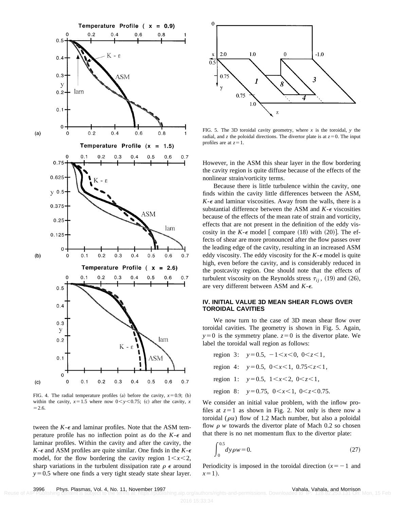

FIG. 4. The radial temperature profiles (a) before the cavity,  $x=0.9$ ; (b) within the cavity,  $x=1.5$  where now  $0 < y < 0.75$ ; (c) after the cavity, *x*  $= 2.6.$ 

tween the  $K - \epsilon$  and laminar profiles. Note that the ASM temperature profile has no inflection point as do the  $K-\epsilon$  and laminar profiles. Within the cavity and after the cavity, the  $K - \epsilon$  and ASM profiles are quite similar. One finds in the  $K - \epsilon$ model, for the flow bordering the cavity region  $1 \leq x \leq 2$ , sharp variations in the turbulent dissipation rate  $\rho \in \mathbb{R}$  around  $y=0.5$  where one finds a very tight steady state shear layer.



FIG. 5. The 3D toroidal cavity geometry, where  $x$  is the toroidal,  $y$  the radial, and *z* the poloidal directions. The divertor plate is at  $z=0$ . The input profiles are at  $z=1$ .

However, in the ASM this shear layer in the flow bordering the cavity region is quite diffuse because of the effects of the nonlinear strain/vorticity terms.

Because there is little turbulence within the cavity, one finds within the cavity little differences between the ASM,  $K - \epsilon$  and laminar viscosities. Away from the walls, there is a substantial difference between the ASM and  $K - \epsilon$  viscosities because of the effects of the mean rate of strain and vorticity, effects that are not present in the definition of the eddy viscosity in the *K*- $\epsilon$  model [ compare (18) with (20)]. The effects of shear are more pronounced after the flow passes over the leading edge of the cavity, resulting in an increased ASM eddy viscosity. The eddy viscosity for the  $K - \epsilon$  model is quite high, even before the cavity, and is considerably reduced in the postcavity region. One should note that the effects of turbulent viscosity on the Reynolds stress  $\tau_{ij}$ , (19) and (26), are very different between ASM and *K*-e.

#### **IV. INITIAL VALUE 3D MEAN SHEAR FLOWS OVER TOROIDAL CAVITIES**

We now turn to the case of 3D mean shear flow over toroidal cavities. The geometry is shown in Fig. 5. Again,  $y=0$  is the symmetry plane.  $z=0$  is the divertor plate. We label the toroidal wall region as follows:

region 3:  $y=0.5$ ,  $-1 \le x \le 0$ ,  $0 \le z \le 1$ , region 4:  $y=0.5$ ,  $0 \le x \le 1$ ,  $0.75 \le z \le 1$ , region 1:  $y=0.5$ ,  $1 \le x \le 2$ ,  $0 \le z \le 1$ , region 8:  $y=0.75$ ,  $0 \lt x \lt 1$ ,  $0 \lt z \lt 0.75$ .

We consider an initial value problem, with the inflow profiles at  $z=1$  as shown in Fig. 2. Not only is there now a toroidal  $(\rho u)$  flow of 1.2 Mach number, but also a poloidal flow  $\rho$  *w* towards the divertor plate of Mach 0.2 so chosen that there is no net momentum flux to the divertor plate:

$$
\int_{0}^{0.5} dy \rho w = 0.
$$
 (27)

Periodicity is imposed in the toroidal direction  $(x = -1)$  and  $x=1$ .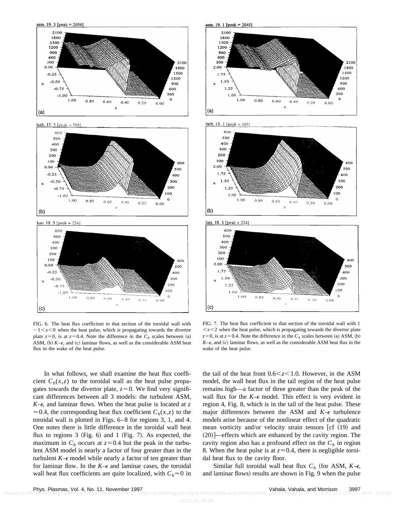





FIG. 6. The heat flux coefficient to that section of the toroidal wall with  $-1 \lt x \lt 0$  when the heat pulse, which is propagating towards the divertor plate  $z=0$ , is at  $z=0.4$ . Note the difference in the  $C_h$  scales between (a) ASM, (b)  $K-\epsilon$ , and (c) laminar flows, as well as the considerable ASM heat flux in the wake of the heat pulse.









FIG. 7. The heat flux coefficient to that section of the toroidal wall with 1  $\langle x \rangle$  when the heat pulse, which is propagating towards the divertor plate  $z=0$ , is at  $z=0.4$ . Note the difference in the  $C_h$  scales between (a) ASM, (b)  $K - \epsilon$ , and (c) laminar flows, as well as the considerable ASM heat flux in the wake of the heat pulse.

the tail of the heat front  $0.6 \leq z \leq 1.0$ . However, in the ASM model, the wall heat flux in the tail region of the heat pulse remains high—a factor of three greater than the peak of the wall flux for the  $K-\epsilon$  model. This effect is very evident in region 4, Fig. 8, which is in the tail of the heat pulse. These major differences between the ASM and  $K-\epsilon$  turbulence models arise because of the nonlinear effect of the quadratic mean vorticity and/or velocity strain tensors  $[cf (19)$  and  $(20)$  —effects which are enhanced by the cavity region. The cavity region also has a profound effect on the  $C_h$  in region 8. When the heat pulse is at  $z \approx 0.4$ , there is negligible toroidal heat flux to the cavity floor.

Similar full toroidal wall heat flux  $C_h$  (for ASM,  $K-\epsilon$ , and laminar flows) results are shown in Fig. 9 when the pulse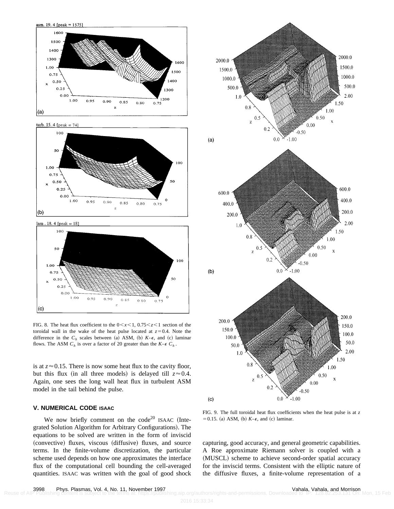

turb. 15. 4 [peak = 74]





FIG. 8. The heat flux coefficient to the  $0 < x < 1$ ,  $0.75 < z < 1$  section of the toroidal wall in the wake of the heat pulse located at  $z=0.4$ . Note the difference in the  $C_h$  scales between (a) ASM, (b)  $K$ - $\epsilon$ , and (c) laminar flows. The ASM  $C_h$  is over a factor of 20 greater than the  $K - \epsilon C_h$ .

is at  $z \approx 0.15$ . There is now some heat flux to the cavity floor, but this flux (in all three models) is delayed till  $z \approx 0.4$ . Again, one sees the long wall heat flux in turbulent ASM model in the tail behind the pulse.

## **V. NUMERICAL CODE ISAAC**

We now briefly comment on the code<sup>20</sup> ISAAC (Integrated Solution Algorithm for Arbitrary Configurations). The equations to be solved are written in the form of inviscid (convective) fluxes, viscous (diffusive) fluxes, and source terms. In the finite-volume discretization, the particular scheme used depends on how one approximates the interface flux of the computational cell bounding the cell-averaged quantities. ISAAC was written with the goal of good shock



FIG. 9. The full toroidal heat flux coefficients when the heat pulse is at *z*  $=0.15$ . (a) ASM, (b)  $K-\epsilon$ , and (c) laminar.

capturing, good accuracy, and general geometric capabilities. A Roe approximate Riemann solver is coupled with a (MUSCL) scheme to achieve second-order spatial accuracy for the inviscid terms. Consistent with the elliptic nature of the diffusive fluxes, a finite-volume representation of a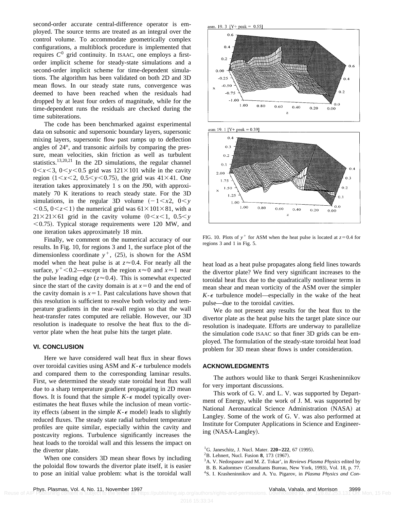second-order accurate central-difference operator is employed. The source terms are treated as an integral over the control volume. To accommodate geometrically complex configurations, a multiblock procedure is implemented that requires  $C^0$  grid continuity. In ISAAC, one employs a firstorder implicit scheme for steady-state simulations and a second-order implicit scheme for time-dependent simulations. The algorithm has been validated on both 2D and 3D mean flows. In our steady state runs, convergence was deemed to have been reached when the residuals had dropped by at least four orders of magnitude, while for the time-dependent runs the residuals are checked during the time subiterations.

The code has been benchmarked against experimental data on subsonic and supersonic boundary layers, supersonic mixing layers, supersonic flow past ramps up to deflection angles of 24°, and transonic airfoils by comparing the pressure, mean velocities, skin friction as well as turbulent statistics.13,20,21 In the 2D simulations, the regular channel  $0 \le x \le 3$ ,  $0 \le y \le 0.5$  grid was  $121 \times 101$  while in the cavity region  $(1 \le x \le 2, 0.5 \le y \le 0.75)$ , the grid was  $41 \times 41$ . One iteration takes approximately 1 s on the J90, with approximately 70 K iterations to reach steady state. For the 3D simulations, in the regular 3D volume  $(-1 \le x \le 0 \le y)$  $<$  0.5, 0 $<$ z $<$ 1) the numerical grid was 61 $\times$ 101 $\times$ 81, with a  $21 \times 21 \times 61$  grid in the cavity volume  $(0 \lt x \lt 1, 0.5 \lt y)$  $<$  0.75). Typical storage requirements were 120 MW, and one iteration takes approximately 18 min.

Finally, we comment on the numerical accuracy of our results. In Fig. 10, for regions 3 and 1, the surface plot of the dimensionless coordinate  $y^+$ , (25), is shown for the ASM model when the heat pulse is at  $z \approx 0.4$ . For nearly all the surface,  $y^+$ <0.2—except in the region  $x \approx 0$  and  $x \approx 1$  near the pulse leading edge ( $z \approx 0.4$ ). This is somewhat expected since the start of the cavity domain is at  $x=0$  and the end of the cavity domain is  $x=1$ . Past calculations have shown that this resolution is sufficient to resolve both velocity and temperature gradients in the near-wall region so that the wall heat-transfer rates computed are reliable. However, our 3D resolution is inadequate to resolve the heat flux to the divertor plate when the heat pulse hits the target plate.

### **VI. CONCLUSION**

Here we have considered wall heat flux in shear flows over toroidal cavities using ASM and  $K - \epsilon$  turbulence models and compared them to the corresponding laminar results. First, we determined the steady state toroidal heat flux wall due to a sharp temperature gradient propagating in 2D mean flows. It is found that the simple  $K - \epsilon$  model typically overestimates the heat fluxes while the inclusion of mean vorticity effects (absent in the simple  $K-\epsilon$  model) leads to slightly reduced fluxes. The steady state radial turbulent temperature profiles are quite similar, especially within the cavity and postcavity regions. Turbulence significantly increases the heat loads to the toroidal wall and this lessens the impact on the divertor plate.

When one considers 3D mean shear flows by including the poloidal flow towards the divertor plate itself, it is easier to pose an initial value problem: what is the toroidal wall





FIG. 10. Plots of  $y^+$  for ASM when the heat pulse is located at  $z=0.4$  for regions 3 and 1 in Fig. 5.

heat load as a heat pulse propagates along field lines towards the divertor plate? We find very significant increases to the toroidal heat flux due to the quadratically nonlinear terms in mean shear and mean vorticity of the ASM over the simpler  $K - \epsilon$  turbulence model—especially in the wake of the heat pulse—due to the toroidal cavities.

We do not present any results for the heat flux to the divertor plate as the heat pulse hits the target plate since our resolution is inadequate. Efforts are underway to parallelize the simulation code ISAAC so that finer 3D grids can be employed. The formulation of the steady-state toroidal heat load problem for 3D mean shear flows is under consideration.

#### **ACKNOWLEDGMENTS**

The authors would like to thank Sergei Krasheninnikov for very important discussions.

This work of G. V. and L. V. was supported by Department of Energy, while the work of J. M. was supported by National Aeronautical Science Administration (NASA) at Langley. Some of the work of G. V. was also performed at Institute for Computer Applications in Science and Engineering (NASA-Langley).

- <sup>1</sup>G. Janeschitz, J. Nucl. Mater. **220–222**, 67 (1995).
- $2^2$ B. Lehnert, Nucl. Fusion 8, 173 (1967).
- 3A. V. Nedospasov and M. Z. Tokar', in *Reviews Plasma Physics* edited by
- B. B. Kadomtsev (Consultants Bureau, New York, 1993), Vol. 18, p. 77.
- 4S. I. Krasheninnikov and A. Yu. Pigarov, in *Plasma Physics and Con-*